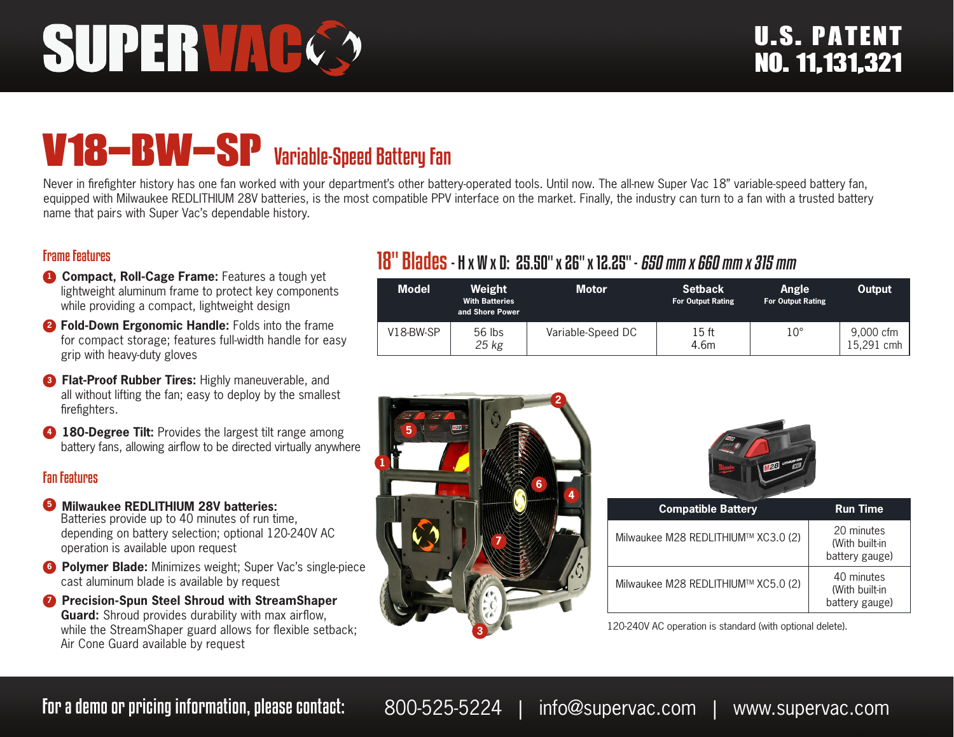# SUPERVAC

## V18-BW-SP Variable-Speed Battery Fan

Never in firefighter history has one fan worked with your department's other battery-operated tools. Until now. The all-new Super Vac 18" variable-speed battery fan, equipped with Milwaukee REDLITHIUM 28V batteries, is the most compatible PPV interface on the market. Finally, the industry can turn to a fan with a trusted battery name that pairs with Super Vac's dependable history.

#### Frame Features

- **1 Compact, Roll-Cage Frame:** Features a tough yet lightweight aluminum frame to protect key components while providing a compact, lightweight design
- **<sup>2</sup> Fold-Down Ergonomic Handle:** Folds into the frame for compact storage; features full-width handle for easy grip with heavy-duty gloves
- **8 Flat-Proof Rubber Tires:** Highly maneuverable, and all without lifting the fan; easy to deploy by the smallest firefighters.
- **4 180-Degree Tilt:** Provides the largest tilt range among battery fans, allowing airflow to be directed virtually anywhere

#### Fan Features

- **5 Milwaukee REDLITHIUM 28V batteries:** Batteries provide up to 40 minutes of run time, depending on battery selection; optional 120-240V AC operation is available upon request
- **6 Polymer Blade:** Minimizes weight; Super Vac's single-piece cast aluminum blade is available by request
- **<sup>7</sup>** Precision-Spun Steel Shroud with StreamShaper **Guard:** Shroud provides durability with max airflow, while the StreamShaper guard allows for flexible setback; Air Cone Guard available by request

### 18" Blades- H x W x D: 25.50" x 26" x 12.25" - 650 mm x 660 mm x 315 mm

| <b>Model</b> | Weight<br><b>With Batteries</b><br>and Shore Power | <b>Motor</b>      | <b>Setback</b><br><b>For Output Rating</b> | Angle<br><b>For Output Rating</b> | Output                  |
|--------------|----------------------------------------------------|-------------------|--------------------------------------------|-----------------------------------|-------------------------|
| $V18-BW-SP$  | $56$ lbs<br>25 kg                                  | Variable-Speed DC | 15 ft<br>4.6m                              | $10^{\circ}$                      | 9,000 cfm<br>15.291 cmh |





| <b>Compatible Battery</b>           | <b>Run Time</b>                                |
|-------------------------------------|------------------------------------------------|
| Milwaukee M28 REDLITHIUM™ XC3.0 (2) | 20 minutes<br>(With built-in<br>battery gauge) |
| Milwaukee M28 REDLITHIUM™ XC5.0 (2) | 40 minutes<br>(With built-in<br>battery gauge) |

120-240V AC operation is standard (with optional delete).